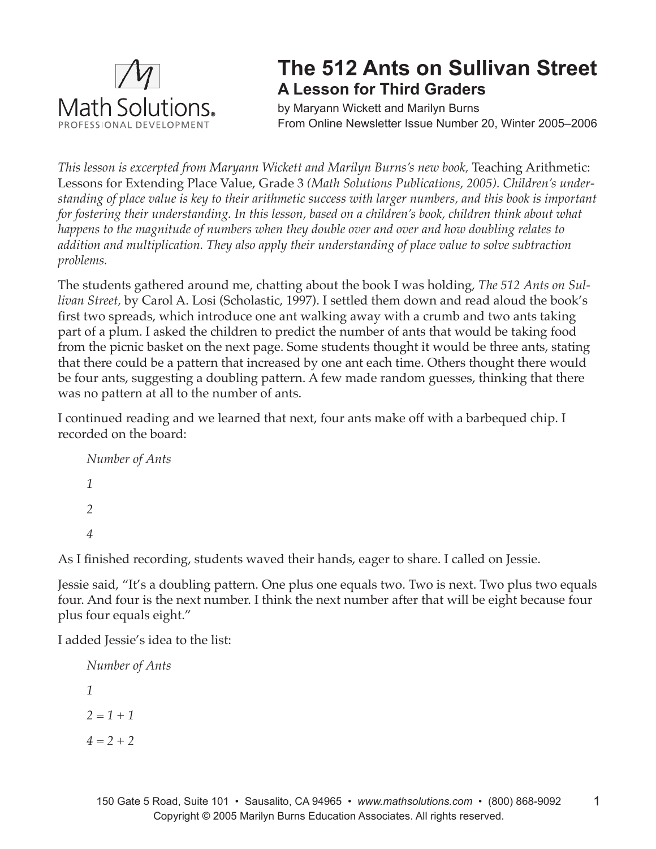

## **The 512 Ants on Sullivan Street A Lesson for Third Graders**

by Maryann Wickett and Marilyn Burns From Online Newsletter Issue Number 20, Winter 2005–2006

*This lesson is excerpted from Maryann Wickett and Marilyn Burns's new book, Teaching Arithmetic:* Lessons for Extending Place Value, Grade 3 *(Math Solutions Publications, 2005). Children's understanding of place value is key to their arithmetic success with larger numbers, and this book is important for fostering their understanding. In this lesson, based on a children's book, children think about what happens to the magnitude of numbers when they double over and over and how doubling relates to addition and multiplication. They also apply their understanding of place value to solve subtraction problems.* 

The students gathered around me, chatting about the book I was holding, *The 512 Ants on Sullivan Street,* by Carol A. Losi (Scholastic, 1997). I settled them down and read aloud the book's first two spreads, which introduce one ant walking away with a crumb and two ants taking part of a plum. I asked the children to predict the number of ants that would be taking food from the picnic basket on the next page. Some students thought it would be three ants, stating that there could be a pattern that increased by one ant each time. Others thought there would be four ants, suggesting a doubling pattern. A few made random guesses, thinking that there was no pattern at all to the number of ants.

I continued reading and we learned that next, four ants make off with a barbequed chip. I recorded on the board:

```
Number of Ants
1
2
4
```
As I finished recording, students waved their hands, eager to share. I called on Jessie.

Jessie said, "It's a doubling pattern. One plus one equals two. Two is next. Two plus two equals four. And four is the next number. I think the next number after that will be eight because four plus four equals eight."

I added Jessie's idea to the list:

```
Number of Ants
1
2 = 1 + 1
4 = 2 + 2
```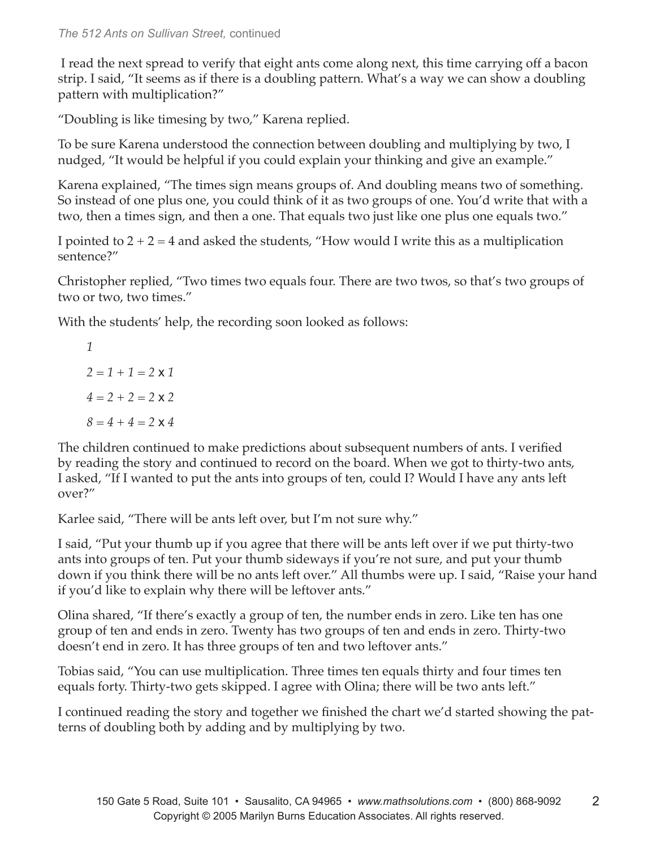## *The 512 Ants on Sullivan Street,* continued

 I read the next spread to verify that eight ants come along next, this time carrying off a bacon strip. I said, "It seems as if there is a doubling pattern. What's a way we can show a doubling pattern with multiplication?"

"Doubling is like timesing by two," Karena replied.

To be sure Karena understood the connection between doubling and multiplying by two, I nudged, "It would be helpful if you could explain your thinking and give an example."

Karena explained, "The times sign means groups of. And doubling means two of something. So instead of one plus one, you could think of it as two groups of one. You'd write that with a two, then a times sign, and then a one. That equals two just like one plus one equals two."

I pointed to  $2 + 2 = 4$  and asked the students, "How would I write this as a multiplication sentence?"

Christopher replied, "Two times two equals four. There are two twos, so that's two groups of two or two, two times."

With the students' help, the recording soon looked as follows:

*1 2 = 1 + 1 = 2* x *1 4 = 2 + 2 = 2* x *2 8 = 4 + 4 = 2* x *4*

The children continued to make predictions about subsequent numbers of ants. I verified by reading the story and continued to record on the board. When we got to thirty-two ants, I asked, "If I wanted to put the ants into groups of ten, could I? Would I have any ants left over?"

Karlee said, "There will be ants left over, but I'm not sure why."

I said, "Put your thumb up if you agree that there will be ants left over if we put thirty-two ants into groups of ten. Put your thumb sideways if you're not sure, and put your thumb down if you think there will be no ants left over." All thumbs were up. I said, "Raise your hand if you'd like to explain why there will be leftover ants."

Olina shared, "If there's exactly a group of ten, the number ends in zero. Like ten has one group of ten and ends in zero. Twenty has two groups of ten and ends in zero. Thirty-two doesn't end in zero. It has three groups of ten and two leftover ants."

Tobias said, "You can use multiplication. Three times ten equals thirty and four times ten equals forty. Thirty-two gets skipped. I agree with Olina; there will be two ants left."

I continued reading the story and together we finished the chart we'd started showing the patterns of doubling both by adding and by multiplying by two.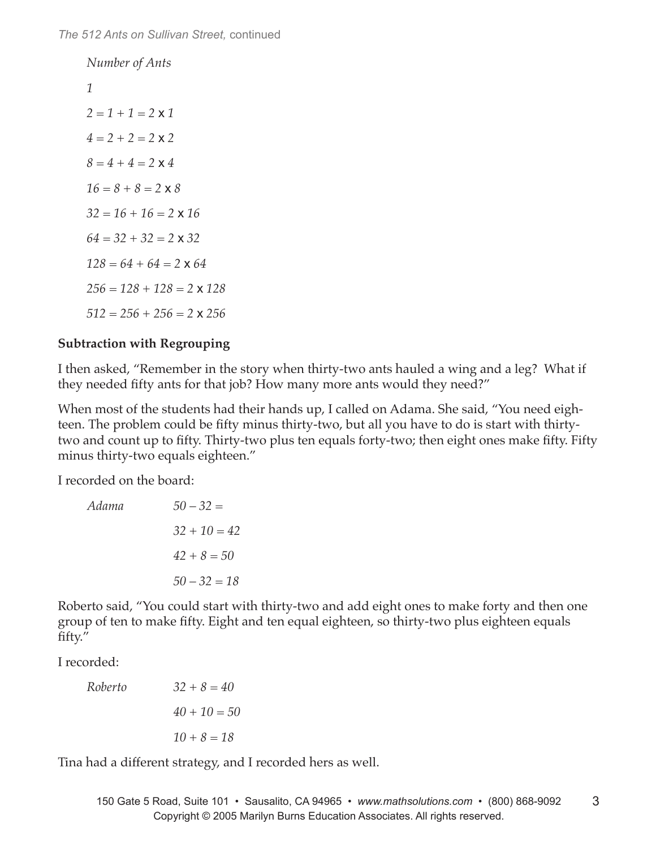*Number of Ants 1 2 = 1 + 1 = 2* x *1 4 = 2 + 2 = 2* x *2 8 = 4 + 4 = 2* x *4 16 = 8 + 8 = 2* x *8 32 = 16 + 16 = 2* x *16 64 = 32 + 32 = 2* x *32 128 = 64 + 64 = 2* x *64 256 = 128 + 128 = 2* x *128 512 = 256 + 256 = 2* x *256*

## **Subtraction with Regrouping**

I then asked, "Remember in the story when thirty-two ants hauled a wing and a leg? What if they needed fifty ants for that job? How many more ants would they need?"

When most of the students had their hands up, I called on Adama. She said, "You need eighteen. The problem could be fifty minus thirty-two, but all you have to do is start with thirtytwo and count up to fifty. Thirty-two plus ten equals forty-two; then eight ones make fifty. Fifty minus thirty-two equals eighteen."

I recorded on the board:

| Adama          | $50 - 32 =$ |
|----------------|-------------|
| $32 + 10 = 42$ |             |
| $42 + 8 = 50$  |             |
| $50 - 32 = 18$ |             |

Roberto said, "You could start with thirty-two and add eight ones to make forty and then one group of ten to make fifty. Eight and ten equal eighteen, so thirty-two plus eighteen equals fifty."

I recorded:

| Roberto        | $32 + 8 = 40$ |
|----------------|---------------|
| $40 + 10 = 50$ |               |
| $10 + 8 = 18$  |               |

Tina had a different strategy, and I recorded hers as well.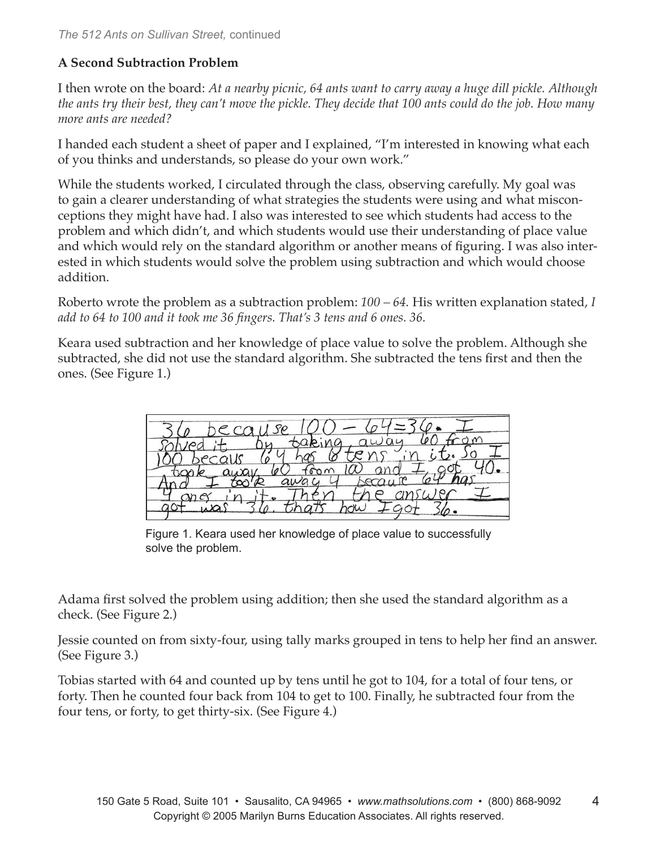## **A Second Subtraction Problem**

I then wrote on the board: *At a nearby picnic, 64 ants want to carry away a huge dill pickle. Although the ants try their best, they can't move the pickle. They decide that 100 ants could do the job. How many more ants are needed?*

I handed each student a sheet of paper and I explained, "I'm interested in knowing what each of you thinks and understands, so please do your own work."

While the students worked, I circulated through the class, observing carefully. My goal was to gain a clearer understanding of what strategies the students were using and what misconceptions they might have had. I also was interested to see which students had access to the problem and which didn't, and which students would use their understanding of place value and which would rely on the standard algorithm or another means of figuring. I was also interested in which students would solve the problem using subtraction and which would choose addition.

Roberto wrote the problem as a subtraction problem: *100 – 64.* His written explanation stated, *I add to 64 to 100 and it took me 36 fingers. That's 3 tens and 6 ones. 36.*

Keara used subtraction and her knowledge of place value to solve the problem. Although she subtracted, she did not use the standard algorithm. She subtracted the tens first and then the ones. (See Figure 1.)

ecause  $CO$ L hermu M

Figure 1. Keara used her knowledge of place value to successfully solve the problem.

Adama first solved the problem using addition; then she used the standard algorithm as a check. (See Figure 2.)

Jessie counted on from sixty-four, using tally marks grouped in tens to help her find an answer. (See Figure 3.)

Tobias started with 64 and counted up by tens until he got to 104, for a total of four tens, or forty. Then he counted four back from 104 to get to 100. Finally, he subtracted four from the four tens, or forty, to get thirty-six. (See Figure 4.)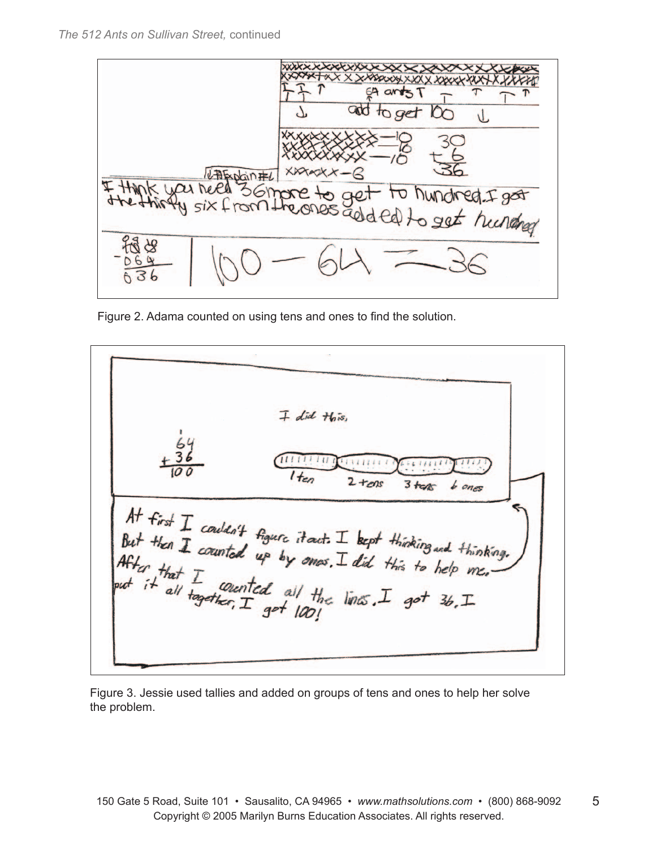

Figure 2. Adama counted on using tens and ones to find the solution.

|                                                       | $\overline{+}$ did this, |            |                                                                       |
|-------------------------------------------------------|--------------------------|------------|-----------------------------------------------------------------------|
|                                                       | $1_{ten}$                | $2 + \cos$ | $3$ tens bones                                                        |
| But then I counted up by ones. I did this to help me. |                          |            | At first $I$ couldn't figure it acts $I$ beget thinking and thinking. |
| After that I counted all the lines. I got 36. I       |                          |            |                                                                       |
|                                                       |                          |            |                                                                       |

Figure 3. Jessie used tallies and added on groups of tens and ones to help her solve the problem.

5